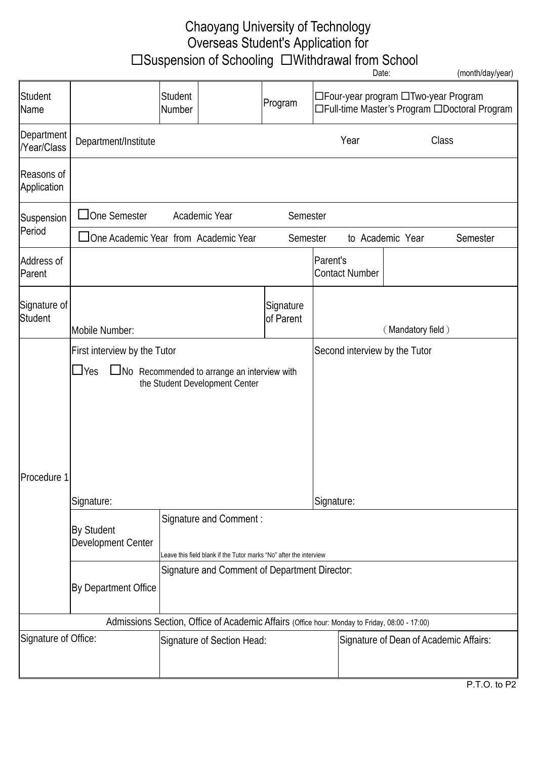## Chaoyang University of Technology Overseas Student's Application for □Suspension of Schooling □Withdrawal from School

|                           |                                                                                                    |                                               |                                                                                               |                                          |                                                                                       | Date:                                  |                   | (month/day/year) |
|---------------------------|----------------------------------------------------------------------------------------------------|-----------------------------------------------|-----------------------------------------------------------------------------------------------|------------------------------------------|---------------------------------------------------------------------------------------|----------------------------------------|-------------------|------------------|
| Student<br>Name           |                                                                                                    | Student<br>Number                             |                                                                                               | Program                                  | □Four-year program □Two-year Program<br>□Full-time Master's Program □Doctoral Program |                                        |                   |                  |
| Department<br>/Year/Class | Department/Institute                                                                               |                                               |                                                                                               |                                          |                                                                                       | Year                                   | Class             |                  |
| Reasons of<br>Application |                                                                                                    |                                               |                                                                                               |                                          |                                                                                       |                                        |                   |                  |
| Suspension<br>Period      | $\Box$ One Semester                                                                                |                                               | Academic Year                                                                                 | Semester                                 |                                                                                       |                                        |                   |                  |
|                           | □One Academic Year from Academic Year                                                              |                                               |                                                                                               | Semester<br>to Academic Year<br>Semester |                                                                                       |                                        |                   |                  |
| Address of<br>Parent      |                                                                                                    |                                               |                                                                                               |                                          | Parent's                                                                              | <b>Contact Number</b>                  |                   |                  |
| Signature of<br>Student   | Mobile Number:                                                                                     |                                               |                                                                                               | Signature<br>of Parent                   |                                                                                       |                                        | (Mandatory field) |                  |
|                           | First interview by the Tutor                                                                       |                                               |                                                                                               |                                          | Second interview by the Tutor                                                         |                                        |                   |                  |
|                           | $\Box$ Yes<br>$\Box$ No Recommended to arrange an interview with<br>the Student Development Center |                                               |                                                                                               |                                          |                                                                                       |                                        |                   |                  |
| Procedure 1               |                                                                                                    |                                               |                                                                                               |                                          |                                                                                       |                                        |                   |                  |
|                           | Signature:                                                                                         |                                               |                                                                                               | Signature:                               |                                                                                       |                                        |                   |                  |
|                           | <b>By Student</b><br>Development Center                                                            |                                               | Signature and Comment:<br>Leave this field blank if the Tutor marks "No" after the interview  |                                          |                                                                                       |                                        |                   |                  |
|                           |                                                                                                    | Signature and Comment of Department Director: |                                                                                               |                                          |                                                                                       |                                        |                   |                  |
|                           | By Department Office                                                                               |                                               |                                                                                               |                                          |                                                                                       |                                        |                   |                  |
|                           |                                                                                                    |                                               | Admissions Section, Office of Academic Affairs (Office hour: Monday to Friday, 08:00 - 17:00) |                                          |                                                                                       |                                        |                   |                  |
| Signature of Office:      |                                                                                                    | Signature of Section Head:                    |                                                                                               |                                          |                                                                                       | Signature of Dean of Academic Affairs: |                   |                  |